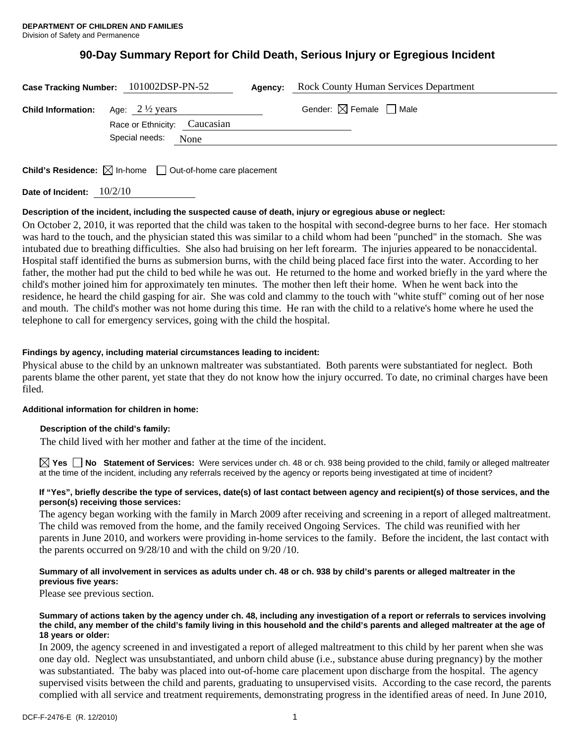# **90-Day Summary Report for Child Death, Serious Injury or Egregious Incident**

|                                                     | Case Tracking Number: 101002DSP-PN-52 | Agency: | <b>Rock County Human Services Department</b> |  |
|-----------------------------------------------------|---------------------------------------|---------|----------------------------------------------|--|
| <b>Child Information:</b> Age: $2\frac{1}{2}$ years | Race or Ethnicity: Caucasian          |         | Gender: $\boxtimes$ Female $\Box$ Male       |  |
|                                                     | Special needs:<br>None                |         |                                              |  |

**Child's Residence:**  $\boxtimes$  In-home  $\Box$  Out-of-home care placement

**Date of Incident:** 10/2/10

## **Description of the incident, including the suspected cause of death, injury or egregious abuse or neglect:**

On October 2, 2010, it was reported that the child was taken to the hospital with second-degree burns to her face. Her stomach was hard to the touch, and the physician stated this was similar to a child whom had been "punched" in the stomach. She was intubated due to breathing difficulties. She also had bruising on her left forearm. The injuries appeared to be nonaccidental. Hospital staff identified the burns as submersion burns, with the child being placed face first into the water. According to her father, the mother had put the child to bed while he was out. He returned to the home and worked briefly in the yard where the child's mother joined him for approximately ten minutes. The mother then left their home. When he went back into the residence, he heard the child gasping for air. She was cold and clammy to the touch with "white stuff" coming out of her nose and mouth. The child's mother was not home during this time. He ran with the child to a relative's home where he used the telephone to call for emergency services, going with the child the hospital.

## **Findings by agency, including material circumstances leading to incident:**

Physical abuse to the child by an unknown maltreater was substantiated. Both parents were substantiated for neglect. Both parents blame the other parent, yet state that they do not know how the injury occurred. To date, no criminal charges have been filed.

## **Additional information for children in home:**

## **Description of the child's family:**

The child lived with her mother and father at the time of the incident.

**Yes No Statement of Services:** Were services under ch. 48 or ch. 938 being provided to the child, family or alleged maltreater at the time of the incident, including any referrals received by the agency or reports being investigated at time of incident?

### **If "Yes", briefly describe the type of services, date(s) of last contact between agency and recipient(s) of those services, and the person(s) receiving those services:**

The agency began working with the family in March 2009 after receiving and screening in a report of alleged maltreatment. The child was removed from the home, and the family received Ongoing Services. The child was reunified with her parents in June 2010, and workers were providing in-home services to the family. Before the incident, the last contact with the parents occurred on 9/28/10 and with the child on 9/20 /10.

## **Summary of all involvement in services as adults under ch. 48 or ch. 938 by child's parents or alleged maltreater in the previous five years:**

Please see previous section.

#### **Summary of actions taken by the agency under ch. 48, including any investigation of a report or referrals to services involving the child, any member of the child's family living in this household and the child's parents and alleged maltreater at the age of 18 years or older:**

In 2009, the agency screened in and investigated a report of alleged maltreatment to this child by her parent when she was one day old. Neglect was unsubstantiated, and unborn child abuse (i.e., substance abuse during pregnancy) by the mother was substantiated. The baby was placed into out-of-home care placement upon discharge from the hospital. The agency supervised visits between the child and parents, graduating to unsupervised visits. According to the case record, the parents complied with all service and treatment requirements, demonstrating progress in the identified areas of need. In June 2010,